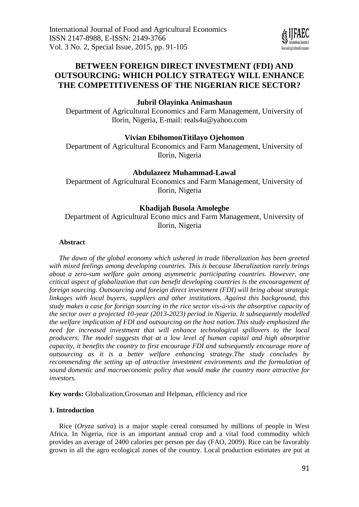# **BETWEEN FOREIGN DIRECT INVESTMENT (FDI) AND OUTSOURCING: WHICH POLICY STRATEGY WILL ENHANCE THE COMPETITIVENESS OF THE NIGERIAN RICE SECTOR?**

## **Jubril Olayinka Animashaun**

Department of Agricultural Economics and Farm Management, University of Ilorin, Nigeria, E-mail: [reals4u@yahoo.com](mailto:reals4u@yahoo.com)

## **Vivian EbihomonTitilayo Ojehomon**

Department of Agricultural Economics and Farm Management, University of Ilorin, Nigeria

### **Abdulazeez Muhammad-Lawal**

Department of Agricultural Economics and Farm Management, University of Ilorin, Nigeria

### **Khadijah Busola Amolegbe**

Department of Agricultural Econo mics and Farm Management, University of Ilorin, Nigeria

### **Abstract**

*The dawn of the global economy which ushered in trade liberalization has been greeted with mixed feelings among developing countries. This is because liberalization rarely brings about a zero-sum welfare gain among asymmetric participating countries. However, one critical aspect of globalization that can benefit developing countries is the encouragement of foreign sourcing. Outsourcing and foreign direct investment (FDI) will bring about strategic linkages with local buyers, suppliers and other institutions. Against this background, this study makes a case for foreign sourcing in the rice sector vis-à-vis the absorptive capacity of the sector over a projected 10-year (2013-2023) period in Nigeria. It subsequently modelled the welfare implication of FDI and outsourcing on the host nation.This study emphasized the need for increased investment that will enhance technological spillovers to the local producers. The model suggests that at a low level of human capital and high absorptive capacity, it benefits the country to first encourage FDI and subsequently encourage more of outsourcing as it is a better welfare enhancing strategy.The study concludes by recommending the setting up of attractive investment environments and the formulation of sound domestic and macroeconomic policy that would make the country more attractive for investors.*

**Key words:** Globalization,Grossman and Helpman, efficiency and rice

### **1. Introduction**

Rice (*Oryza sativa*) is a major staple cereal consumed by millions of people in West Africa. In Nigeria, rice is an important annual crop and a vital food commodity which provides an average of 2400 calories per person per day (FAO, 2009). Rice can be favorably grown in all the agro ecological zones of the country. Local production estimates are put at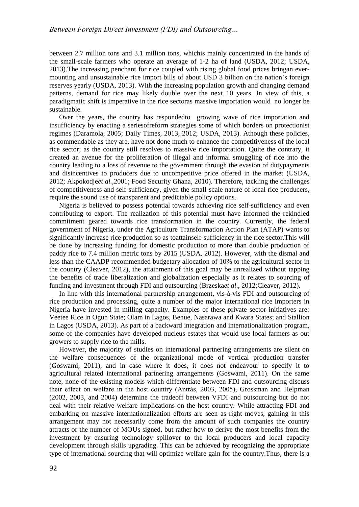between 2.7 million tons and 3.1 million tons, whichis mainly concentrated in the hands of the small-scale farmers who operate an average of 1-2 ha of land (USDA, 2012; USDA, 2013).The increasing penchant for rice coupled with rising global food prices bringan evermounting and unsustainable rice import bills of about USD 3 billion on the nation's foreign reserves yearly (USDA, 2013). With the increasing population growth and changing demand patterns, demand for rice may likely double over the next 10 years. In view of this, a paradigmatic shift is imperative in the rice sectoras massive importation would no longer be sustainable.

Over the years, the country has respondedto growing wave of rice importation and insufficiency by enacting a seriesofreform strategies some of which borders on protectionist regimes (Daramola, 2005; Daily Times, 2013, 2012; USDA, 2013). Athough these policies, as commendable as they are, have not done much to enhance the competitiveness of the local rice sector; as the country still resolves to massive rice importation. Quite the contrary, it created an avenue for the proliferation of illegal and informal smuggling of rice into the country leading to a loss of revenue to the government through the evasion of dutypayments and disincentives to producers due to uncompetitive price offered in the market (USDA, 2012; Akpokodje*et al.,*2001; Food Security Ghana, 2010). Therefore, tackling the challenges of competitiveness and self-sufficiency, given the small-scale nature of local rice producers, require the sound use of transparent and predictable policy options.

Nigeria is believed to possess potential towards achieving rice self-sufficiency and even contributing to export. The realization of this potential must have informed the rekindled commitment geared towards rice transformation in the country. Currently, the federal government of Nigeria, under the Agriculture Transformation Action Plan (ATAP) wants to significantly increase rice production so as toattainself-sufficiency in the rice sector.This will be done by increasing funding for domestic production to more than double production of paddy rice to 7.4 million metric tons by 2015 (USDA, 2012). However, with the dismal and less than the CAADP recommended budgetary allocation of 10% to the agricultural sector in the country (Cleaver, 2012), the attainment of this goal may be unrealized without tapping the benefits of trade liberalization and globalization especially as it relates to sourcing of funding and investment through FDI and outsourcing (Brzeska*et al*., 2012;Cleaver, 2012).

In line with this international partnership arrangement, vis-à-vis FDI and outsourcing of rice production and processing, quite a number of the major international rice importers in Nigeria have invested in milling capacity. Examples of these private sector initiatives are: Veetee Rice in Ogun State; Olam in Lagos, Benue, Nasarawa and Kwara States; and Stallion in Lagos (USDA, 2013). As part of a backward integration and internationalization program, some of the companies have developed nucleus estates that would use local farmers as out growers to supply rice to the mills.

However, the majority of studies on international partnering arrangements are silent on the welfare consequences of the organizational mode of vertical production transfer (Goswami, 2011), and in case where it does, it does not endeavour to specify it to agricultural related international partnering arrangements (Goswami, 2011). On the same note, none of the existing models which differentiate between FDI and outsourcing discuss their effect on welfare in the host country (Antràs, 2003, 2005), Grossman and Helpman (2002, 2003, and 2004) determine the tradeoff between VFDI and outsourcing but do not deal with their relative welfare implications on the host country. While attracting FDI and embarking on massive internationalization efforts are seen as right moves, gaining in this arrangement may not necessarily come from the amount of such companies the country attracts or the number of MOUs signed, but rather how to derive the most benefits from the investment by ensuring technology spillover to the local producers and local capacity development through skills upgrading. This can be achieved by recognizing the appropriate type of international sourcing that will optimize welfare gain for the country.Thus, there is a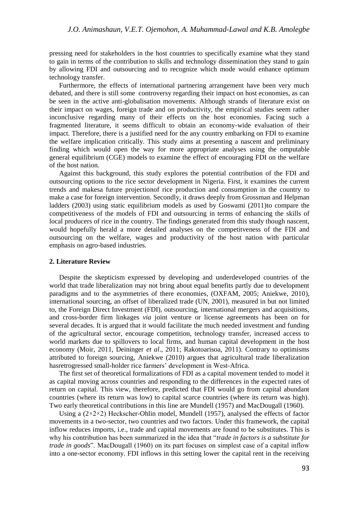pressing need for stakeholders in the host countries to specifically examine what they stand to gain in terms of the contribution to skills and technology dissemination they stand to gain by allowing FDI and outsourcing and to recognize which mode would enhance optimum technology transfer.

Furthermore, the effects of international partnering arrangement have been very much debated, and there is still some controversy regarding their impact on host economies, as can be seen in the active anti-globalisation movements. Although strands of literature exist on their impact on wages, foreign trade and on productivity, the empirical studies seem rather inconclusive regarding many of their effects on the host economies. Facing such a fragmented literature, it seems difficult to obtain an economy-wide evaluation of their impact. Therefore, there is a justified need for the any country embarking on FDI to examine the welfare implication critically. This study aims at presenting a nascent and preliminary finding which would open the way for more appropriate analyses using the omputable general equilibrium (CGE) models to examine the effect of encouraging FDI on the welfare of the host nation.

Against this background, this study explores the potential contribution of the FDI and outsourcing options to the rice sector development in Nigeria. First, it examines the current trends and makesa future projectionof rice production and consumption in the country to make a case for foreign intervention. Secondly, it draws deeply from Grossman and Helpman ladders (2003) using static equilibrium models as used by Goswami (2011)to compare the competitiveness of the models of FDI and outsourcing in terms of enhancing the skills of local producers of rice in the country. The findings generated from this study though nascent, would hopefully herald a more detailed analyses on the competitveness of the FDI and outsourcing on the welfare, wages and productivity of the host nation with particular emphasis on agro-based industries.

#### **2. Literature Review**

Despite the skepticism expressed by developing and underdeveloped countries of the world that trade liberalization may not bring about equal benefits partly due to development paradigms and to the asymmetries of there economies, (OXFAM, 2005; Aniekwe, 2010), international sourcing, an offset of liberalized trade (UN, 2001), measured in but not limited to, the Foreign Direct Investment (FDI), outsourcing, international mergers and acquisitions, and cross-border firm linkages *via* joint venture or license agreements has been on for several decades. It is argued that it would facilitate the much needed investment and funding of the agricultural sector, encourage competition, technology transfer, increased access to world markets due to spillovers to local firms, and human capital development in the host economy (Moir, 2011, Deininger *et al*., 2011; Rakotoarisoa, 2011). Contrary to optimisms attributed to foreign sourcing, Aniekwe (2010) argues that agricultural trade liberalization hasretrogressed small-holder rice farmers' development in West-Africa.

The first set of theoretical formalizations of FDI as a capital movement tended to model it as capital moving across countries and responding to the differences in the expected rates of return on capital. This view, therefore, predicted that FDI would go from capital abundant countries (where its return was low) to capital scarce countries (where its return was high). Two early theoretical contributions in this line are Mundell (1957) and MacDougall (1960).

Using a  $(2\times2\times2)$  Heckscher-Ohlin model, Mundell (1957), analysed the effects of factor movements in a two-sector, two countries and two factors. Under this framework, the capital inflow reduces imports, i.e., trade and capital movements are found to be substitutes. This is why his contribution has been summarized in the idea that "*trade in factors is a substitute for trade in goods*". MacDougall (1960) on its part focuses on simplest case of a capital inflow into a one-sector economy. FDI inflows in this setting lower the capital rent in the receiving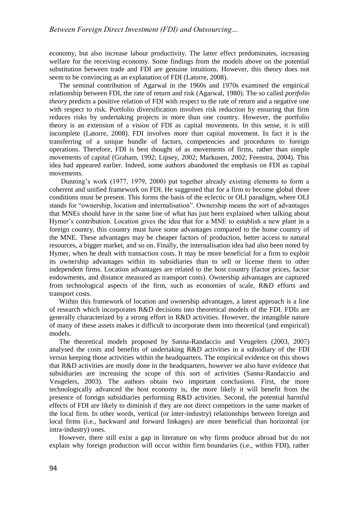economy, but also increase labour productivity. The latter effect predominates, increasing welfare for the receiving economy. Some findings from the models above on the potential substitution between trade and FDI are genuine intuitions. However, this theory does not seem to be convincing as an explanation of FDI (Latorre, 2008).

The seminal contribution of Agarwal in the 1960s and 1970s examined the empirical relationship between FDI, the rate of return and risk (Agarwal, 1980). The so called *portfolio theory* predicts a positive relation of FDI with respect to the rate of return and a negative one with respect to risk. Portfolio diversification involves risk reduction by ensuring that firm reduces risks by undertaking projects in more than one country. However, the portfolio theory is an extension of a vision of FDI as capital movements. In this sense, it is still incomplete (Latorre, 2008). FDI involves more than capital movement. In fact it is the transferring of a unique bundle of factors, competencies and procedures to foreign operations. Therefore, FDI is best thought of as movements of firms, rather than simple movements of capital (Graham, 1992; Lipsey, 2002; Markusen, 2002; Feenstra, 2004). This idea had appeared earlier. Indeed, some authors abandoned the emphasis on FDI as capital movements.

Dunning's work (1977, 1979, 2000) put together already existing elements to form a coherent and unified framework on FDI. He suggested that for a firm to become global three conditions must be present. This forms the basis of the eclectic or OLI paradigm, where OLI stands for "ownership, location and internalisation". Ownership means the sort of advantages that MNEs should have in the same line of what has just been explained when talking about Hymer's contribution. Location gives the idea that for a MNE to establish a new plant in a foreign country, this country must have some advantages compared to the home country of the MNE. These advantages may be cheaper factors of production, better access to natural resources, a bigger market, and so on. Finally, the internalisation idea had also been noted by Hymer, when he dealt with transaction costs. It may be more beneficial for a firm to exploit its ownership advantages within its subsidiaries than to sell or license them to other independent firms. Location advantages are related to the host country (factor prices, factor endowments, and distance measured as transport costs). Ownership advantages are captured from technological aspects of the firm, such as economies of scale, R&D efforts and transport costs.

Within this framework of location and ownership advantages, a latest approach is a line of research which incorporates R&D decisions into theoretical models of the FDI. FDIs are generally characterized by a strong effort in R&D activities. However, the intangible nature of many of these assets makes it difficult to incorporate them into theoretical (and empirical) models.

The theoretical models proposed by Sanna-Randaccio and Veugelers (2003, 2007) analysed the costs and benefits of undertaking R&D activities in a subsidiary of the FDI versus keeping those activities within the headquarters. The empirical evidence on this shows that R&D activities are mostly done in the headquarters, however we also have evidence that subsidiaries are increasing the scope of this sort of activities (Sanna-Randaccio and Veugelers, 2003). The authors obtain two important conclusions. First, the more technologically advanced the host economy is, the more likely it will benefit from the presence of foreign subsidiaries performing R&D activities. Second, the potential harmful effects of FDI are likely to diminish if they are not direct competitors in the same market of the local firm. In other words, vertical (or inter-industry) relationships between foreign and local firms (i.e., backward and forward linkages) are more beneficial than horizontal (or intra-industry) ones.

However, there still exist a gap in literature on why firms produce abroad but do not explain why foreign production will occur within firm boundaries (i.e., within FDI), rather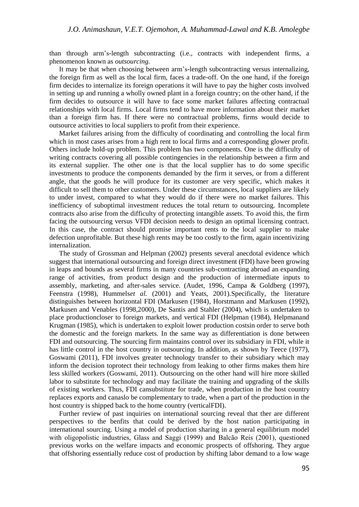than through arm's-length subcontracting (i.e., contracts with independent firms, a phenomenon known as *outsourcing.*

It may be that when choosing between arm's-length subcontracting versus internalizing, the foreign firm as well as the local firm, faces a trade-off. On the one hand, if the foreign firm decides to internalize its foreign operations it will have to pay the higher costs involved in setting up and running a wholly owned plant in a foreign country; on the other hand, if the firm decides to outsource it will have to face some market failures affecting contractual relationships with local firms. Local firms tend to have more information about their market than a foreign firm has. If there were no contractual problems, firms would decide to outsource activities to local suppliers to profit from their experience.

Market failures arising from the difficulty of coordinating and controlling the local firm which in most cases arises from a high rent to local firms and a corresponding glower profit. Others include hold-up problem. This problem has two components. One is the difficulty of writing contracts covering all possible contingencies in the relationship between a firm and its external supplier. The other one is that the local supplier has to do some specific investments to produce the components demanded by the firm it serves, or from a different angle, that the goods he will produce for its customer are very specific, which makes it difficult to sell them to other customers. Under these circumstances, local suppliers are likely to under invest, compared to what they would do if there were no market failures. This inefficiency of suboptimal investment reduces the total return to outsourcing. Incomplete contracts also arise from the difficulty of protecting intangible assets. To avoid this, the firm facing the outsourcing versus VFDI decision needs to design an optimal licensing contract. In this case, the contract should promise important rents to the local supplier to make defection unprofitable. But these high rents may be too costly to the firm, again incentivizing internalization.

The study of Grossman and Helpman (2002) presents several anecdotal evidence which suggest that international outsourcing and foreign direct investment (FDI) have been growing in leaps and bounds as several firms in many countries sub-contracting abroad an expanding range of activities, from product design and the production of intermediate inputs to assembly, marketing, and after-sales service. (Audet, 1996, Campa & Goldberg (1997), Feenstra (1998), Hummels*et al.* (2001) and Yeats, 2001).Specifically, the literature distinguishes between horizontal FDI (Markusen (1984), Horstmann and Markusen (1992), Markusen and Venables (1998,2000), De Santis and Stahler (2004), which is undertaken to place productioncloser to foreign markets, and vertical FDI (Helpman (1984), Helpmanand Krugman (1985), which is undertaken to exploit lower production costsin order to serve both the domestic and the foreign markets. In the same way as differentiation is done between FDI and outsourcing. The sourcing firm maintains control over its subsidiary in FDI, while it has little control in the host country in outsourcing. In addition, as shown by Teece (1977), Goswami (2011), FDI involves greater technology transfer to their subsidiary which may inform the decision toprotect their technology from leaking to other firms makes them hire less skilled workers (Goswami, 2011). Outsourcing on the other hand will hire more skilled labor to substitute for technology and may facilitate the training and upgrading of the skills of existing workers. Thus, FDI cansubstitute for trade, when production in the host country replaces exports and canaslo be complementary to trade, when a part of the production in the host country is shipped back to the home country (verticalFDI).

Further review of past inquiries on international sourcing reveal that ther are different perspectives to the benfits that could be derived by the host nation participating in international sourcing. Using a model of production sharing in a general equilibrium model with oligopolistic industries, Glass and Saggi (1999) and Balcão Reis (2001), questioned previous works on the welfare impacts and economic prospects of offshoring. They argue that offshoring essentially reduce cost of production by shifting labor demand to a low wage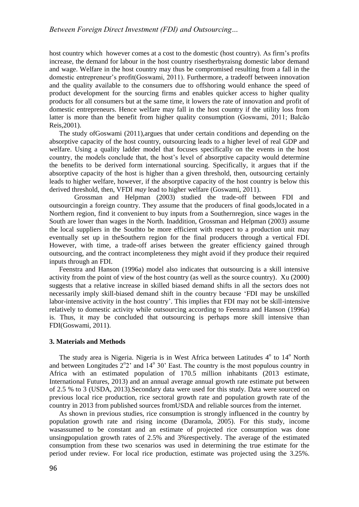host country which however comes at a cost to the domestic (host country). As firm's profits increase, the demand for labour in the host country risestherbyraisng domestic labor demand and wage. Welfare in the host country may thus be compromised resulting from a fall in the domestic entrepreneur's profit(Goswami, 2011). Furthermore, a tradeoff between innovation and the quality available to the consumers due to offshoring would enhance the speed of product development for the sourcing firms and enables quicker access to higher quality products for all consumers but at the same time, it lowers the rate of innovation and profit of domestic entrepreneurs. Hence welfare may fall in the host country if the utility loss from latter is more than the benefit from higher quality consumption (Goswami, 2011; Balcão Reis,2001).

The study ofGoswami (2011),argues that under certain conditions and depending on the absorptive capacity of the host country, outsourcing leads to a higher level of real GDP and welfare. Using a quality ladder model that focuses specifically on the events in the host country, the models conclude that, the host's level of absorptive capacity would determine the benefits to be derived form international sourcing. Specifically, it argues that if the absorptive capacity of the host is higher than a given threshold, then, outsourcing certainly leads to higher welfare, however, if the absorptive capacity of the host country is below this derived threshold, then, VFDI *may* lead to higher welfare (Goswami, 2011).

Grossman and Helpman (2003) studied the trade-off between FDI and outsourcingin a foreign country. They assume that the producers of final goods,located in a Northern region, find it convenient to buy inputs from a Southernregion, since wages in the South are lower than wages in the North. Inaddition, Grossman and Helpman (2003) assume the local suppliers in the Southto be more efficient with respect to a production unit may eventually set up in theSouthern region for the final producers through a vertical FDI. However, with time, a trade-off arises between the greater efficiency gained through outsourcing, and the contract incompleteness they might avoid if they produce their required inputs through an FDI.

Feenstra and Hanson (1996a) model also indicates that outsourcing is a skill intensive activity from the point of view of the host country (as well as the source country). Xu (2000) suggests that a relative increase in skilled biased demand shifts in all the sectors does not necessarily imply skill-biased demand shift in the country because 'FDI may be unskilled labor-intensive activity in the host country'. This implies that FDI may not be skill-intensive relatively to domestic activity while outsourcing according to Feenstra and Hanson (1996a) is. Thus, it may be concluded that outsourcing is perhaps more skill intensive than FDI(Goswami, 2011).

#### **3. Materials and Methods**

The study area is Nigeria. Nigeria is in West Africa between Latitudes 4° to 14° North and between Longitudes  $2^{\circ}2'$  and  $14^{\circ}30'$  East. The country is the most populous country in Africa with an estimated population of 170.5 million inhabitants (2013 estimate, International Futures, 2013) and an annual average annual growth rate estimate put between of 2.5 % to 3 (USDA, 2013).Secondary data were used for this study. Data were sourced on previous local rice production, rice sectoral growth rate and population growth rate of the country in 2013 from published sources fromUSDA and reliable sources from the internet.

As shown in previous studies, rice consumption is strongly influenced in the country by population growth rate and rising income (Daramola, 2005). For this study, income wasassumed to be constant and an estimate of projected rice consumption was done unsingpopulation growth rates of 2.5% and 3%respectively. The average of the estimated consumption from these two scenarios was used in determining the true estimate for the period under review. For local rice production, estimate was projected using the 3.25%.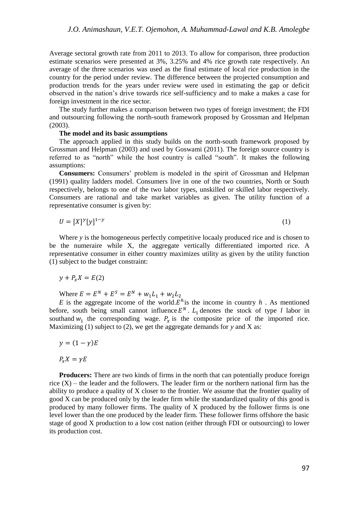Average sectoral growth rate from 2011 to 2013. To allow for comparison, three production estimate scenarios were presented at 3%, 3.25% and 4% rice growth rate respectively. An average of the three scenarios was used as the final estimate of local rice production in the country for the period under review. The difference between the projected consumption and production trends for the years under review were used in estimating the gap or deficit observed in the nation's drive towards rice self-sufficiency and to make a makes a case for foreign investment in the rice sector.

The study further makes a comparison between two types of foreign investment; the FDI and outsourcing following the north-south framework proposed by Grossman and Helpman (2003).

#### **The model and its basic assumptions**

The approach applied in this study builds on the north-south framework proposed by Grossman and Helpman (2003) and used by Goswami (2011). The foreign source country is referred to as "north" while the host country is called "south". It makes the following assumptions:

**Consumers:** Consumers' problem is modeled in the spirit of Grossman and Helpman (1991) quality ladders model. Consumers live in one of the two countries, North or South respectively, belongs to one of the two labor types, unskilled or skilled labor respectively. Consumers are rational and take market variables as given. The utility function of a representative consumer is given by:

$$
U = [X]^{y} [y]^{1-y} \tag{1}
$$

Where *y* is the homogeneous perfectly competitive locally produced rice and is chosen to be the numeraire while X, the aggregate vertically differentiated imported rice. A representative consumer in either country maximizes utility as given by the utility function (1) subject to the budget constraint:

 $y + P_x X = E(2)$ 

Where  $E = E^N + E^S = E^N + w_1 L_1 + w_2 L_2$ 

*E* is the aggregate income of the world.  $E^h$  is the income in country *h*. As mentioned before, south being small cannot influence  $E^N$ .  $L_1$  denotes the stock of type *l* labor in southand  $w_1$  the corresponding wage.  $P_x$  is the composite price of the imported rice. Maximizing (1) subject to (2), we get the aggregate demands for *y* and X as:

$$
y=(1-\gamma)E
$$

 $P_{\nu}X=\gamma E$ 

**Producers:** There are two kinds of firms in the north that can potentially produce foreign rice  $(X)$  – the leader and the followers. The leader firm or the northern national firm has the ability to produce a quality of X closer to the frontier. We assume that the frontier quality of good X can be produced only by the leader firm while the standardized quality of this good is produced by many follower firms. The quality of X produced by the follower firms is one level lower than the one produced by the leader firm. These follower firms offshore the basic stage of good X production to a low cost nation (either through FDI or outsourcing) to lower its production cost.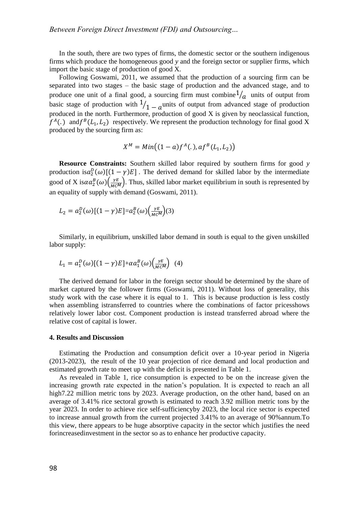In the south, there are two types of firms, the domestic sector or the southern indigenous firms which produce the homogeneous good *y* and the foreign sector or supplier firms, which import the basic stage of production of good X.

Following Goswami, 2011, we assumed that the production of a sourcing firm can be separated into two stages – the basic stage of production and the advanced stage, and to produce one unit of a final good, a sourcing firm must combine  $\frac{1}{a}$  units of output from basic stage of production with  $\frac{1}{1-a}$  units of output from advanced stage of production produced in the north. Furthermore, production of good X is given by neoclassical function,  $f^{A}(.)$  and  $f^{B}(L_1, L_2)$  respectively. We represent the production technology for final good X produced by the sourcing firm as:

$$
X^M = Min((1-a)f^A(.), af^B(L_1, L_2))
$$

**Resource Constraints:** Southern skilled labor required by southern firms for good *y*  production is  $a_2^D(\omega)[(1 - \gamma)E]$ . The derived demand for skilled labor by the intermediate good of X is $\alpha a_2^B(\omega) \left(\frac{\gamma E}{Mc^M}\right)$ . Thus, skilled labor market equilibrium in south is represented by an equality of supply with demand (Goswami, 2011).

$$
L_2 = a_2^D(\omega)[(1-\gamma)E] = a_2^B(\omega)\left(\frac{\gamma E}{M C^M}\right)(3)
$$

Similarly, in equilibrium, unskilled labor demand in south is equal to the given unskilled labor supply:

$$
L_1 = a_1^D(\omega)[(1-\gamma)E] + \alpha a_1^B(\omega) \left(\frac{\gamma E}{M C^M}\right) (4)
$$

The derived demand for labor in the foreign sector should be determined by the share of market captured by the follower firms (Goswami, 2011). Without loss of generality, this study work with the case where it is equal to 1. This is because production is less costly when assembling istransferred to countries where the combinations of factor pricesshows relatively lower labor cost. Component production is instead transferred abroad where the relative cost of capital is lower.

#### **4. Results and Discussion**

Estimating the Production and consumption deficit over a 10-year period in Nigeria (2013-2023), the result of the 10 year projection of rice demand and local production and estimated growth rate to meet up with the deficit is presented in Table 1.

As revealed in Table 1, rice consumption is expected to be on the increase given the increasing growth rate expected in the nation's population. It is expected to reach an all high7.22 million metric tons by 2023. Average production, on the other hand, based on an average of 3.41% rice sectoral growth is estimated to reach 3.92 million metric tons by the year 2023. In order to achieve rice self-sufficiencyby 2023, the local rice sector is expected to increase annual growth from the current projected 3.41% to an average of 90%annum.To this view, there appears to be huge absorptive capacity in the sector which justifies the need forincreasedinvestment in the sector so as to enhance her productive capacity.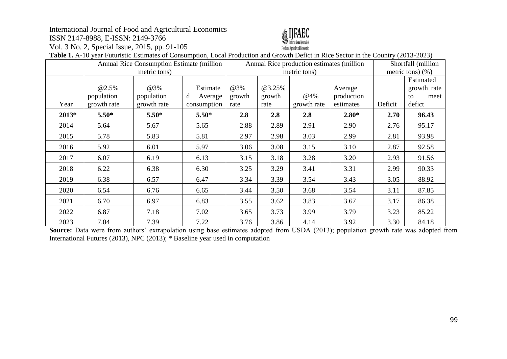# International Journal of Food and Agricultural Economics

ISSN 2147-8988, E-ISSN: 2149-3766

Vol. 3 No. 2, Special Issue, 2015, pp. 91-105



**Table 1.** A-10 year Futuristic Estimates of Consumption, Local Production and Growth Defict in Rice Sector in the Country (2013-2023)

|       | Annual Rice Consumption Estimate (million<br>metric tons) |                                  |                                         | Annual Rice production estimates (million)<br>metric tons) |                          |                    |                                    | Shortfall (million<br>metric tons) $(\% )$ |                                                  |
|-------|-----------------------------------------------------------|----------------------------------|-----------------------------------------|------------------------------------------------------------|--------------------------|--------------------|------------------------------------|--------------------------------------------|--------------------------------------------------|
| Year  | <b>@2.5%</b><br>population<br>growth rate                 | @3%<br>population<br>growth rate | Estimate<br>d<br>Average<br>consumption | @3%<br>growth<br>rate                                      | @3.25%<br>growth<br>rate | @4%<br>growth rate | Average<br>production<br>estimates | Deficit                                    | Estimated<br>growth rate<br>meet<br>to<br>defict |
| 2013* | $5.50*$                                                   | $5.50*$                          | $5.50*$                                 | 2.8                                                        | 2.8                      | 2.8                | $2.80*$                            | 2.70                                       | 96.43                                            |
| 2014  | 5.64                                                      | 5.67                             | 5.65                                    | 2.88                                                       | 2.89                     | 2.91               | 2.90                               | 2.76                                       | 95.17                                            |
| 2015  | 5.78                                                      | 5.83                             | 5.81                                    | 2.97                                                       | 2.98                     | 3.03               | 2.99                               | 2.81                                       | 93.98                                            |
| 2016  | 5.92                                                      | 6.01                             | 5.97                                    | 3.06                                                       | 3.08                     | 3.15               | 3.10                               | 2.87                                       | 92.58                                            |
| 2017  | 6.07                                                      | 6.19                             | 6.13                                    | 3.15                                                       | 3.18                     | 3.28               | 3.20                               | 2.93                                       | 91.56                                            |
| 2018  | 6.22                                                      | 6.38                             | 6.30                                    | 3.25                                                       | 3.29                     | 3.41               | 3.31                               | 2.99                                       | 90.33                                            |
| 2019  | 6.38                                                      | 6.57                             | 6.47                                    | 3.34                                                       | 3.39                     | 3.54               | 3.43                               | 3.05                                       | 88.92                                            |
| 2020  | 6.54                                                      | 6.76                             | 6.65                                    | 3.44                                                       | 3.50                     | 3.68               | 3.54                               | 3.11                                       | 87.85                                            |
| 2021  | 6.70                                                      | 6.97                             | 6.83                                    | 3.55                                                       | 3.62                     | 3.83               | 3.67                               | 3.17                                       | 86.38                                            |
| 2022  | 6.87                                                      | 7.18                             | 7.02                                    | 3.65                                                       | 3.73                     | 3.99               | 3.79                               | 3.23                                       | 85.22                                            |
| 2023  | 7.04                                                      | 7.39                             | 7.22                                    | 3.76                                                       | 3.86                     | 4.14               | 3.92                               | 3.30                                       | 84.18                                            |

**Source:** Data were from authors' extrapolation using base estimates adopted from USDA (2013); population growth rate was adopted from International Futures (2013), NPC (2013); \* Baseline year used in computation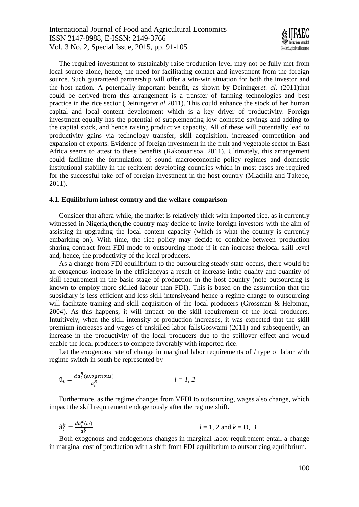International Journal of Food and Agricultural Economics ISSN 2147-8988, E-ISSN: 2149-3766 Vol. 3 No. 2, Special Issue, 2015, pp. 91-105



The required investment to sustainably raise production level may not be fully met from local source alone, hence, the need for facilitating contact and investment from the foreign source. Such guaranteed partnership will offer a win-win situation for both the investor and the host nation. A potentially important benefit, as shown by Deininger*et. al.* (2011)that could be derived from this arrangement is a transfer of farming technologies and best practice in the rice sector (Deininger*et al* 2011). This could enhance the stock of her human capital and local content development which is a key driver of productivity. Foreign investment equally has the potential of supplementing low domestic savings and adding to the capital stock, and hence raising productive capacity. All of these will potentially lead to productivity gains via technology transfer, skill acquisition, increased competition and expansion of exports. Evidence of foreign investment in the fruit and vegetable sector in East Africa seems to attest to these benefits (Rakotoarisoa, 2011). Ultimately, this arrangement could facilitate the formulation of sound macroeconomic policy regimes and domestic institutional stability in the recipient developing countries which in most cases are required for the successful take-off of foreign investment in the host country (Mlachila and Takebe, 2011).

#### **4.1. Equilibrium inhost country and the welfare comparison**

Consider that aftera while, the market is relatively thick with imported rice, as it currently witnessed in Nigeria,then,the country may decide to invite foreign investors with the aim of assisting in upgrading the local content capacity (which is what the country is currently embarking on). With time, the rice policy may decide to combine between production sharing contract from FDI mode to outsourcing mode if it can increase thelocal skill level and, hence, the productivity of the local producers.

As a change from FDI equilibrium to the outsourcing steady state occurs, there would be an exogenous increase in the efficiencyas a result of increase inthe quality and quantity of skill requirement in the basic stage of production in the host country (note outsourcing is known to employ more skilled labour than FDI). This is based on the assumption that the subsidiary is less efficient and less skill intensiveand hence a regime change to outsourcing will facilitate training and skill acquisition of the local producers (Grossman & Helpman, 2004). As this happens, it will impact on the skill requirement of the local producers. Intuitively, when the skill intensity of production increases, it was expected that the skill premium increases and wages of unskilled labor fallsGoswami (2011) and subsequently, an increase in the productivity of the local producers due to the spillover effect and would enable the local producers to compete favorably with imported rice.

Let the exogenous rate of change in marginal labor requirements of *l* type of labor with regime switch in south be represented by

$$
\hat{\mathbf{u}}_l = \frac{da_l^B(exogenous)}{a_l^B} \qquad l = 1, 2
$$

Furthermore, as the regime changes from VFDI to outsourcing, wages also change, which impact the skill requirement endogenously after the regime shift.

$$
\hat{a}_l^k = \frac{da_l^k(\omega)}{a_l^k} \qquad l = 1, 2 \text{ and } k = D, B
$$

Both exogenous and endogenous changes in marginal labor requirement entail a change in marginal cost of production with a shift from FDI equilibrium to outsourcing equilibrium.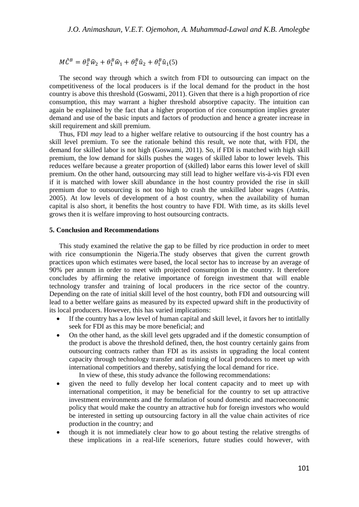$M\hat{C}^{B} = \theta_2^{B}\hat{w}_2 + \theta_1^{B}\hat{w}_1 + \theta_2^{B}\hat{u}_2 + \theta_1^{B}\hat{u}_1(5)$ 

The second way through which a switch from FDI to outsourcing can impact on the competitiveness of the local producers is if the local demand for the product in the host country is above this threshold (Goswami, 2011). Given that there is a high proportion of rice consumption, this may warrant a higher threshold absorptive capacity. The intuition can again be explained by the fact that a higher proportion of rice consumption implies greater demand and use of the basic inputs and factors of production and hence a greater increase in skill requirement and skill premium.

Thus, FDI *may* lead to a higher welfare relative to outsourcing if the host country has a skill level premium. To see the rationale behind this result, we note that, with FDI, the demand for skilled labor is not high (Goswami, 2011). So, if FDI is matched with high skill premium, the low demand for skills pushes the wages of skilled labor to lower levels. This reduces welfare because a greater proportion of (skilled) labor earns this lower level of skill premium. On the other hand, outsourcing may still lead to higher welfare vis-à-vis FDI even if it is matched with lower skill abundance in the host country provided the rise in skill premium due to outsourcing is not too high to crash the unskilled labor wages (Antràs, 2005). At low levels of development of a host country, when the availability of human capital is also short, it benefits the host country to have FDI. With time, as its skills level grows then it is welfare improving to host outsourcing contracts.

#### **5. Conclusion and Recommendations**

This study examined the relative the gap to be filled by rice production in order to meet with rice consumptionin the Nigeria.The study observes that given the current growth practices upon which estimates were based, the local sector has to increase by an average of 90% per annum in order to meet with projected consumption in the country. It therefore concludes by affirming the relative importance of foreign investment that will enable technology transfer and training of local producers in the rice sector of the country. Depending on the rate of initial skill level of the host country, both FDI and outsourcing will lead to a better welfare gains as measured by its expected upward shift in the productivity of its local producers. However, this has varied implications:

- If the country has a low level of human capital and skill level, it favors her to intitlally seek for FDI as this may be more beneficial; and
- On the other hand, as the skill level gets upgraded and if the domestic consumption of the product is above the threshold defined, then, the host country certainly gains from outsourcing contracts rather than FDI as its assists in upgrading the local content capacity through technology transfer and training of local producers to meet up with international competitiors and thereby, satisfying the local demand for rice.

In view of these, this study advance the following recommendations:

- given the need to fully develop her local content capacity and to meet up with international competition, it may be beneficial for the country to set up attractive investment environments and the formulation of sound domestic and macroeconomic policy that would make the country an attractive hub for foreign investors who would be interested in setting up outsourcing factory in all the value chain activites of rice production in the country; and
- though it is not immediately clear how to go about testing the relative strengths of these implications in a real-life sceneriors, future studies could however, with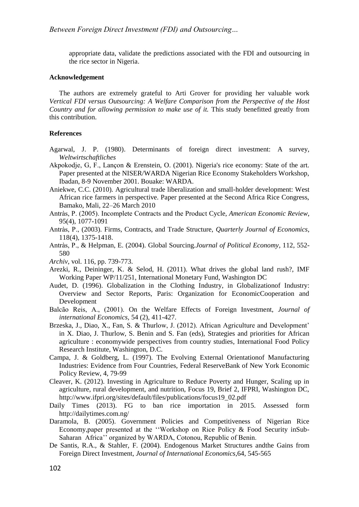appropriate data, validate the predictions associated with the FDI and outsourcing in the rice sector in Nigeria.

#### **Acknowledgement**

The authors are extremely grateful to Arti Grover for providing her valuable work *Vertical FDI versus Outsourcing: A Welfare Comparison from the Perspective of the Host Country and for allowing permission to make use of it.* This study benefitted greatly from this contribution.

#### **References**

- Agarwal, J. P. (1980). Determinants of foreign direct investment: A survey, *Weltwirtschaftliches*
- Akpokodje, G, F., Lançon & Erenstein, O. (2001). Nigeria's rice economy: State of the art. Paper presented at the NISER/WARDA Nigerian Rice Economy Stakeholders Workshop, Ibadan, 8-9 November 2001. Bouake: WARDA.
- Aniekwe, C.C. (2010)*.* Agricultural trade liberalization and small-holder development: West African rice farmers in perspective. Paper presented at the Second Africa Rice Congress, Bamako, Mali, 22–26 March 2010
- Antràs, P. (2005). Incomplete Contracts and the Product Cycle, *American Economic Review*, 95(4), 1077-1091
- Antràs, P., (2003). Firms, Contracts, and Trade Structure, *Quarterly Journal of Economics*, 118(4), 1375-1418.
- Antràs, P., & Helpman, E. (2004). Global Sourcing.*Journal of Political Economy*, 112, 552- 580
- *Archiv*, vol. 116, pp. 739-773.
- Arezki, R., Deininger, K. & Selod, H. (2011). What drives the global land rush?, IMF Working Paper WP/11/251, International Monetary Fund, Washington DC
- Audet, D. (1996). Globalization in the Clothing Industry, in Globalizationof Industry: Overview and Sector Reports, Paris: Organization for EconomicCooperation and Development
- Balcão Reis, A., (2001). On the Welfare Effects of Foreign Investment, *Journal of international Economics,* 54 (2), 411-427.
- Brzeska, J., Diao, X., Fan, S. & Thurlow, J. (2012). African Agriculture and Development' in X. Diao, J. Thurlow, S. Benin and S. Fan (eds), Strategies and priorities for African agriculture : economywide perspectives from country studies, International Food Policy Research Institute, Washington, D.C.
- Campa, J. & Goldberg, L. (1997). The Evolving External Orientationof Manufacturing Industries: Evidence from Four Countries, Federal ReserveBank of New York Economic Policy Review, 4, 79-99
- Cleaver, K. (2012). Investing in Agriculture to Reduce Poverty and Hunger, Scaling up in agriculture, rural development, and nutrition, Focus 19, Brief 2, IFPRI, Washington DC, [http://www.ifpri.org/sites/default/files/publications/focus19\\_02.pdf](http://www.ifpri.org/sites/default/files/publications/focus19_02.pdf)
- Daily Times (2013). FG to ban rice importation in 2015. Assessed form <http://dailytimes.com.ng/>
- Daramola, B. (2005). Government Policies and Competitiveness of Nigerian Rice Economy,paper presented at the ''Workshop on Rice Policy & Food Security inSub-Saharan Africa'' organized by WARDA, Cotonou, Republic of Benin.
- De Santis, R.A., & Stahler, F. (2004). Endogenous Market Structures andthe Gains from Foreign Direct Investment, *Journal of International Economics*,64, 545-565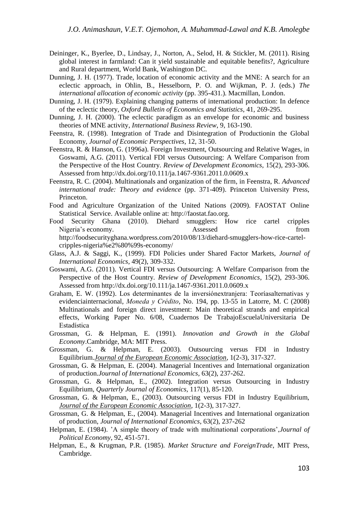- Deininger, K., Byerlee, D., Lindsay, J., Norton, A., Selod, H. & Stickler, M. (2011). Rising global interest in farmland: Can it yield sustainable and equitable benefits?, Agriculture and Rural department, World Bank, Washington DC.
- Dunning, J. H. (1977). Trade, location of economic activity and the MNE: A search for an eclectic approach, in Ohlin, B., Hesselborn, P. O. and Wijkman, P. J. (eds.) *The international allocation of economic activity* (pp. 395-431.)*.* Macmillan, London.
- Dunning, J. H. (1979). Explaining changing patterns of international production: In defence of the eclectic theory, *Oxford Bulletin of Economics and Statistics*, 41, 269-295.
- Dunning, J. H. (2000). The eclectic paradigm as an envelope for economic and business theories of MNE activity, *International Business Review*, 9, 163-190.
- Feenstra, R. (1998). Integration of Trade and Disintegration of Productionin the Global Economy, *Journal of Economic Perspectives*, 12, 31-50.
- Feenstra, R. & Hanson, G. (1996a). Foreign Investment, Outsourcing and Relative Wages, in Goswami, A.G. (2011). Vertical FDI versus Outsourcing: A Welfare Comparison from the Perspective of the Host Country. *Review of Development Economics*, 15(2), 293-306. Assessed from<http://dx.doi.org/10.111/ja.1467-9361.2011.0.0609.x>
- Feenstra, R. C. (2004). Multinationals and organization of the firm, in Feenstra, R. *Advanced international trade: Theory and evidence* (pp. 371-409). Princeton University Press, Princeton.
- Food and Agriculture Organization of the United Nations (2009). FAOSTAT Online Statistical Service. Available online at: [http://faostat.fao.org.](http://faostat.fao.org/)
- Food Security Ghana (2010). [Diehard smugglers: How rice cartel cripples](http://foodsecurityghana.wordpress.com/2010/08/13/diehard-smugglers-how-rice-cartel-cripples-nigeria%e2%80%99s-economy/)  Nigeria's [economy.](http://foodsecurityghana.wordpress.com/2010/08/13/diehard-smugglers-how-rice-cartel-cripples-nigeria%e2%80%99s-economy/) Assessed from the Assessed from the Assessed from the  $\sim$ [http://foodsecurityghana.wordpress.com/2010/08/13/diehard-smugglers-how-rice-cartel](http://foodsecurityghana.wordpress.com/2010/08/13/diehard-smugglers-how-rice-cartel-cripples-nigeria%e2%80%99s-economy/)[cripples-nigeria%e2%80%99s-economy/](http://foodsecurityghana.wordpress.com/2010/08/13/diehard-smugglers-how-rice-cartel-cripples-nigeria%e2%80%99s-economy/)
- Glass, A.J. & Saggi, K., (1999). FDI Policies under Shared Factor Markets, *Journal of International Economics*, 49(2), 309-332.
- Goswami, A.G. (2011). Vertical FDI versus Outsourcing: A Welfare Comparison from the Perspective of the Host Country. *Review of Development Economics*, 15(2), 293-306. Assessed from<http://dx.doi.org/10.111/ja.1467-9361.2011.0.0609.x>
- Graham, E. W. (1992). Los determinantes de la inversiónextranjera: Teoríasalternativas y evidenciainternacional, *Moneda y Crédito*, No. 194, pp. 13-55 in Latorre, M. C (2008) Multinationals and foreign direct investment: Main theoretical strands and empirical effects, Working Paper No. 6/08, Cuadernos De TrabajoEscuelaUniversitaria De Estadística
- Grossman, G. & Helpman, E. (1991). *Innovation and Growth in the Global Economy*.Cambridge, MA: MIT Press.
- Grossman, G. & Helpman, E. (2003). Outsourcing versus FDI in Industry Equilibrium.*[Journal of the European Economic Association](http://mitpress.mit.edu/catalog/item/default.asp?ttype=4&tid=60)*, 1(2-3), 317-327.
- Grossman, G. & Helpman, E. (2004). Managerial Incentives and International organization of production.*Journal of International Economics*, 63(2), 237-262.
- Grossman, G. & Helpman, E., (2002). Integration versus Outsourcing in Industry Equilibrium, *Quarterly Journal of Economics,* 117(1), 85-120.
- Grossman, G. & Helpman, E., (2003). Outsourcing versus FDI in Industry Equilibrium, *[Journal of the European Economic Association](http://mitpress.mit.edu/catalog/item/default.asp?ttype=4&tid=60)*, 1(2-3), 317-327.
- Grossman, G. & Helpman, E., (2004). Managerial Incentives and International organization of production, *Journal of International Economics*, 63(2), 237-262
- Helpman, E. (1984). 'A simple theory of trade with multinational corporations',*Journal of Political Economy*, 92, 451-571.
- Helpman, E., & Krugman, P.R. (1985). *Market Structure and ForeignTrade*, MIT Press, Cambridge.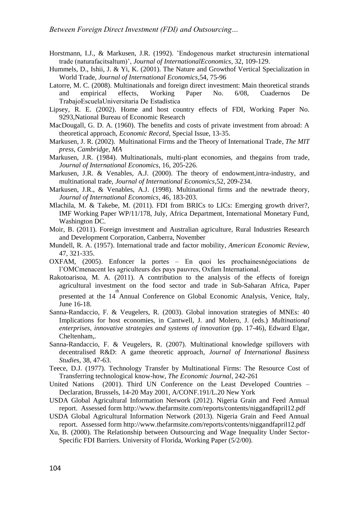- Horstmann, I.J., & Markusen, J.R. (1992). 'Endogenous market structuresin international trade (naturafacitsaltum)', *Journal of InternationalEconomics*, 32, 109-129.
- Hummels, D., Ishii, J. & Yi, K. (2001). The Nature and Growthof Vertical Specialization in World Trade, *Journal of International Economics*,54, 75-96
- Latorre, M. C. (2008). Multinationals and foreign direct investment: Main theoretical strands and empirical effects, Working Paper No. 6/08, Cuadernos De TrabajoEscuelaUniversitaria De Estadística
- Lipsey, R. E. (2002). Home and host country effects of FDI, Working Paper No. 9293,National Bureau of Economic Research
- MacDougall, G. D. A. (1960). The benefits and costs of private investment from abroad: A theoretical approach, *Economic Record*, Special Issue, 13-35.
- Markusen, J. R. (2002). Multinational Firms and the Theory of International Trade, *The MIT press, Cambridge, MA*
- Markusen, J.R. (1984). Multinationals, multi-plant economies, and thegains from trade, *Journal of International Economics*, 16, 205-226.
- Markusen, J.R. & Venables, A.J. (2000). The theory of endowment,intra-industry, and multinational trade, *Journal of International Economics*,52, 209-234.
- Markusen, J.R., & Venables, A.J. (1998). Multinational firms and the newtrade theory, *Journal of International Economics*, 46, 183-203.
- Mlachila, M. & Takebe, M. (2011). FDI from BRICs to LICs: Emerging growth driver?, IMF Working Paper WP/11/178, July, Africa Department, International Monetary Fund, Washington DC.
- Moir, B. (2011). Foreign investment and Australian agriculture, Rural Industries Research and Development Corporation, Canberra, November
- Mundell, R. A. (1957). International trade and factor mobility, *American Economic Review*, 47, 321-335.
- OXFAM, (2005). Enfoncer la portes En quoi les prochainesnégociations de l'OMCmenacent les agriculteurs des pays pauvres, Oxfam International.
- Rakotoarisoa, M. A. (2011). A contribution to the analysis of the effects of foreign agricultural investment on the food sector and trade in Sub-Saharan Africa, Paper presented at the 14<sup>th</sup> Annual Conference on Global Economic Analysis, Venice, Italy, June 16-18.
- Sanna-Randaccio, F. & Veugelers, R. (2003). Global innovation strategies of MNEs: 40 Implications for host economies, in Cantwell, J. and Molero, J. (eds.) *Multinational enterprises, innovative strategies and systems of innovation* (pp. 17-46), Edward Elgar, Cheltenham,.
- Sanna-Randaccio, F. & Veugelers, R. (2007). Multinational knowledge spillovers with decentralised R&D: A game theoretic approach, *Journal of International Business Studie*s, 38, 47-63.
- Teece, D.J. (1977). Technology Transfer by Multinational Firms: The Resource Cost of Transferring technological know-how, *The Economic Journal*, 242-261
- United Nations (2001). Third UN Conference on the Least Developed Countries Declaration, Brussels, 14-20 May 2001, A/CONF.191/L.20 New York
- USDA Global Agricultural Information Network (2012). Nigeria Grain and Feed Annual report. Assessed for[m http://www.thefarmsite.com/reports/contents/niggandfapril12.pdf](http://www.thefarmsite.com/reports/contents/niggandfapril12.pdf)
- USDA Global Agricultural Information Network (2013). Nigeria Grain and Feed Annual report. Assessed for[m http://www.thefarmsite.com/reports/contents/niggandfapril12.pdf](http://www.thefarmsite.com/reports/contents/niggandfapril12.pdf)
- Xu, B. (2000). The Relationship between Outsourcing and Wage Inequality Under Sector-Specific FDI Barriers. University of Florida, Working Paper (5/2/00).